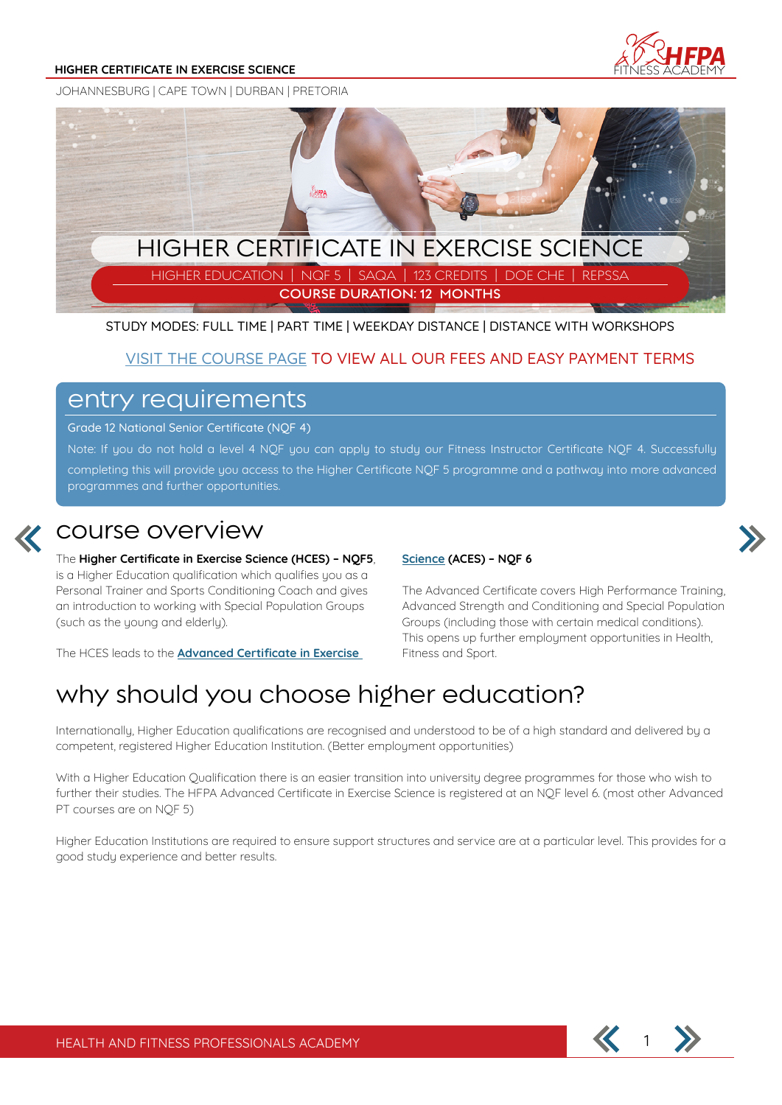#### **HIGHER CERTIFICATE IN EXERCISE SCIENCE**



JOHANNESBURG | CAPE TOWN | DURBAN | PRETORIA



STUDY MODES: FULL TIME | PART TIME | WEEKDAY DISTANCE | DISTANCE WITH WORKSHOPS

### **VISIT THE COURSE PAGE TO VIEW ALL OUR FEES AND EASY PAYMENT TERMS**

### entry requirements

Grade 12 National Senior Certificate (NQF 4)

Note: If you do not hold a level 4 NQF you can apply to study our Fitness Instructor Certificate NQF 4. Successfully completing this will provide you access to the Higher Certificate NOF 5 programme and a pathway into more advanced programmes and further opportunities.



### course overview

The **Higher Certificate in Exercise Science (HCES) – NQF5**, is a Higher Education qualification which qualifies you as a Personal Trainer and Sports Conditioning Coach and gives an introduction to working with Special Population Groups (such as the young and elderly).

The HCES leads to the **Advanced Certificate in Exercise** 

### **Science (ACES) – NQF 6**



# why should you choose higher education?

Internationally, Higher Education qualifications are recognised and understood to be of a high standard and delivered by a competent, registered Higher Education Institution. (Better employment opportunities)

With a Higher Education Qualification there is an easier transition into university degree programmes for those who wish to further their studies. The HFPA Advanced Certificate in Exercise Science is registered at an NQF level 6. (most other Advanced PT courses are on NQF 5)

Higher Education Institutions are required to ensure support structures and service are at a particular level. This provides for a good study experience and better results.

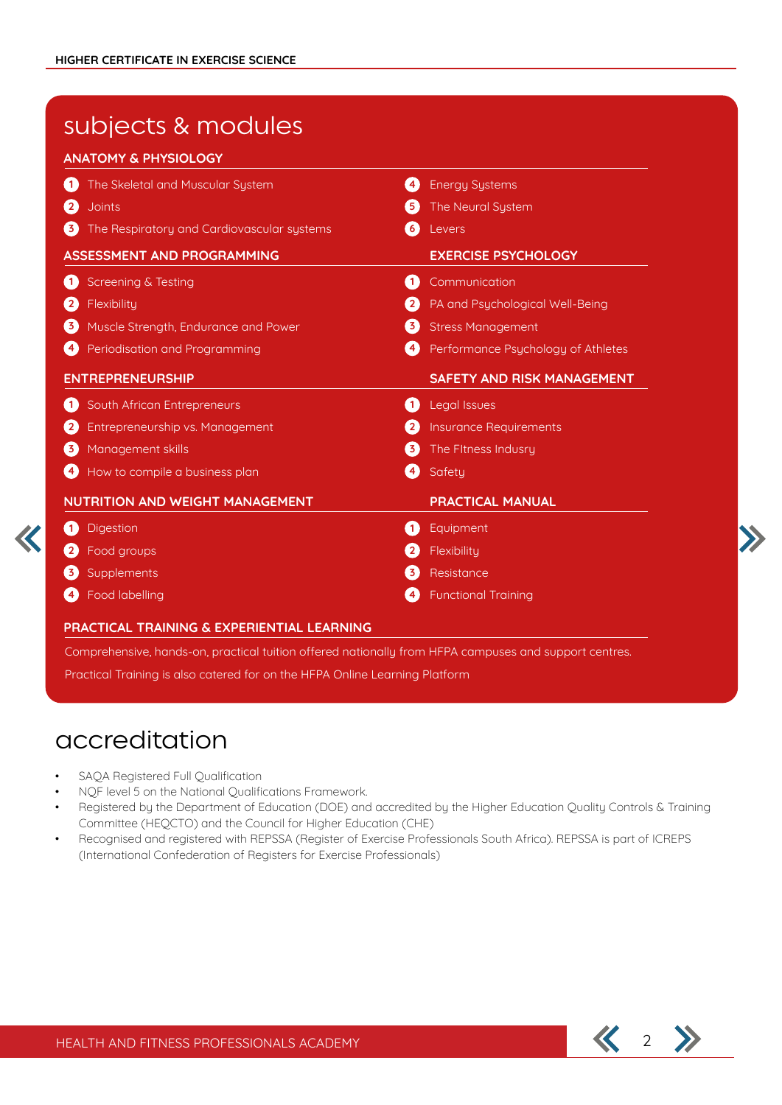# subjects & modules

### **ANATOMY & PHYSIOLOGY**

| The Skeletal and Muscular System<br>$\left( 1\right)$      | $\left( 4 \right)$      | <b>Energy Systems</b>              |
|------------------------------------------------------------|-------------------------|------------------------------------|
| $\left( 2\right)$<br><b>Joints</b>                         | $\left[ 5 \right]$      | The Neural System                  |
| The Respiratory and Cardiovascular systems<br>$\mathbf{3}$ | $\frac{6}{3}$           | Levers                             |
| <b>ASSESSMENT AND PROGRAMMING</b>                          |                         | <b>EXERCISE PSYCHOLOGY</b>         |
| <b>Screening &amp; Testing</b><br>0                        | $\left( 1\right)$       | Communication                      |
| Flexibility<br>$\left( 2\right)$                           | $\overline{\mathbf{2}}$ | PA and Psychological Well-Being    |
| Muscle Strength, Endurance and Power<br>$\left( 3\right)$  | 6                       | <b>Stress Management</b>           |
| $\left(4\right)$<br>Periodisation and Programming          | $\left( 4\right)$       | Performance Psychology of Athletes |
| <b>ENTREPRENEURSHIP</b>                                    |                         | <b>SAFETY AND RISK MANAGEMENT</b>  |
| South African Entrepreneurs<br>Œ                           | $\blacksquare$          | <b>Legal Issues</b>                |
| $\left[ 2 \right]$<br>Entrepreneurship vs. Management      |                         | <b>Insurance Requirements</b>      |
| Management skills<br>$\mathbf{3}$                          | $\mathbf{3}$            | The Fitness Indusry                |
| How to compile a business plan<br>$\left( 4\right)$        | $\left( 4 \right)$      | Safety                             |
| NUTRITION AND WEIGHT MANAGEMENT                            |                         | <b>PRACTICAL MANUAL</b>            |
| <b>Digestion</b><br>Œ                                      | Œ                       | Equipment                          |
| Food groups                                                |                         | Flexibility                        |
|                                                            |                         |                                    |
| Supplements<br>$\left( 3\right)$                           | $\overline{\mathbf{3}}$ | Resistance                         |

Comprehensive, hands-on, practical tuition offered nationally from HFPA campuses and support centres.

Practical Training is also catered for on the HFPA Online Learning Platform

# accreditation

- SAQA Registered Full Qualification
- NQF level 5 on the National Qualifications Framework.
- Registered by the Department of Education (DOE) and accredited by the Higher Education Quality Controls & Training Committee (HEQCTO) and the Council for Higher Education (CHE)
- Recognised and registered with REPSSA (Register of Exercise Professionals South Africa). REPSSA is part of ICREPS (International Confederation of Registers for Exercise Professionals)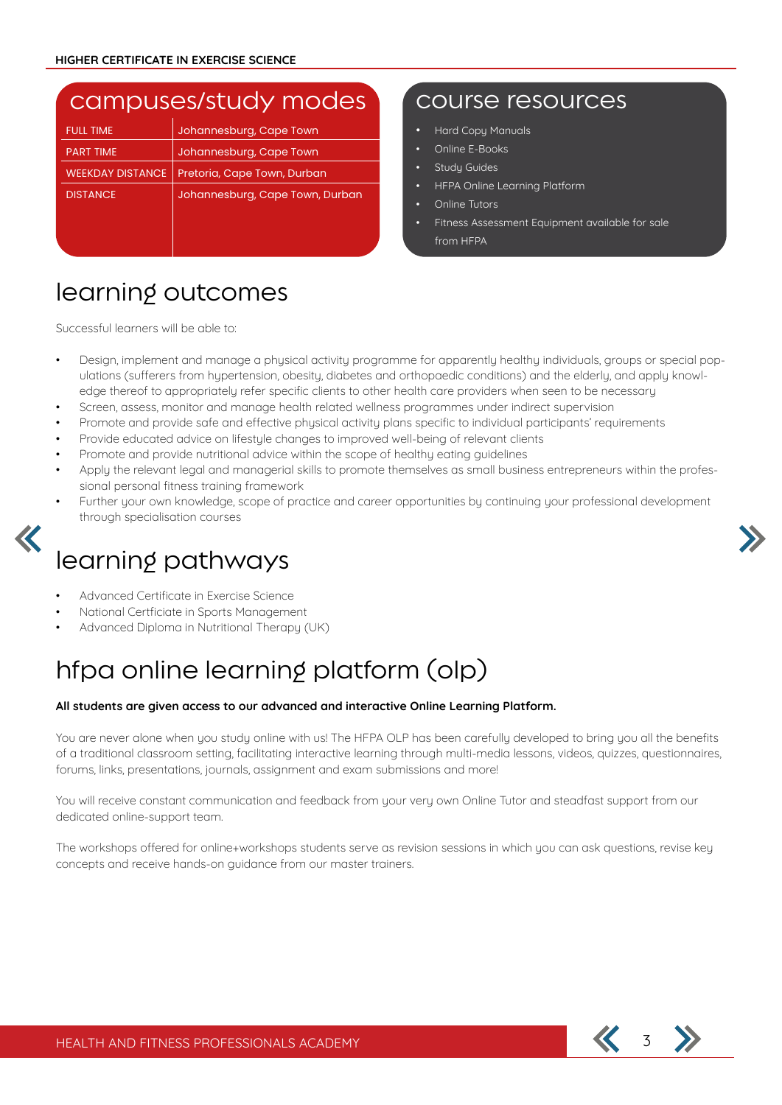### campuses/study modes Course resources

| <b>FULL TIME</b>        | Johannesburg, Cape Town         |
|-------------------------|---------------------------------|
| <b>PART TIME</b>        | Johannesburg, Cape Town         |
| <b>WEEKDAY DISTANCE</b> | Pretoria, Cape Town, Durban     |
| <b>DISTANCE</b>         | Johannesburg, Cape Town, Durban |
|                         |                                 |
|                         |                                 |

- Hard Copy Manuals
- Online E-Books
- Study Guides
- HFPA Online Learning Platform
- Online Tutors
- Fitness Assessment Equipment available for sale from HFPA

# learning outcomes

Successful learners will be able to:

- Design, implement and manage a physical activity programme for apparently healthy individuals, groups or special populations (sufferers from hypertension, obesity, diabetes and orthopaedic conditions) and the elderly, and apply knowledge thereof to appropriately refer specific clients to other health care providers when seen to be necessary
- Screen, assess, monitor and manage health related wellness programmes under indirect supervision
- Promote and provide safe and effective physical activity plans specific to individual participants' requirements
- Provide educated advice on lifestyle changes to improved well-being of relevant clients
- Promote and provide nutritional advice within the scope of healthy eating guidelines
- Apply the relevant legal and managerial skills to promote themselves as small business entrepreneurs within the professional personal fitness training framework
- Further your own knowledge, scope of practice and career opportunities by continuing your professional development through specialisation courses

# learning pathways

- Advanced Certificate in Exercise Science
- National Certficiate in Sports Management
- Advanced Diploma in Nutritional Therapy (UK)

# hfpa online learning platform (olp)

### **All students are given access to our advanced and interactive Online Learning Platform.**

You are never alone when you study online with us! The HFPA OLP has been carefully developed to bring you all the benefits of a traditional classroom setting, facilitating interactive learning through multi-media lessons, videos, quizzes, questionnaires, forums, links, presentations, journals, assignment and exam submissions and more!

You will receive constant communication and feedback from your very own Online Tutor and steadfast support from our dedicated online-support team.

The workshops offered for online+workshops students serve as revision sessions in which you can ask questions, revise key concepts and receive hands-on guidance from our master trainers.